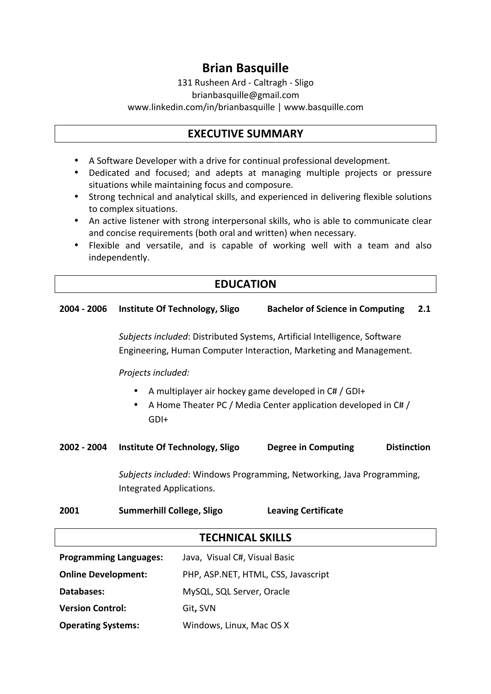# **Brian Basquille**

131 Rusheen Ard - Caltragh - Sligo brianbasquille@gmail.com www.linkedin.com/in/brianbasquille | www.basquille.com

## **EXECUTIVE SUMMARY**

- A Software Developer with a drive for continual professional development.
- Dedicated and focused; and adepts at managing multiple projects or pressure situations while maintaining focus and composure.
- Strong technical and analytical skills, and experienced in delivering flexible solutions to complex situations.
- An active listener with strong interpersonal skills, who is able to communicate clear and concise requirements (both oral and written) when necessary.
- Flexible and versatile, and is capable of working well with a team and also independently.

# **EDUCATION**

# **2004 - 2006 Institute Of Technology, Sligo Bachelor of Science in Computing 2.1** *Subjects included*: Distributed Systems, Artificial Intelligence, Software Engineering, Human Computer Interaction, Marketing and Management. **Projects included:** • A multiplayer air hockey game developed in  $CH / GDH +$ A Home Theater PC / Media Center application developed in C# / GDI+ **2002 - 2004 Institute Of Technology, Sligo Degree in Computing Distinction** *Subjects included*: Windows Programming, Networking, Java Programming, Integrated Applications. **2001 Summerhill College, Sligo Leaving Certificate TECHNICAL SKILLS**

| <b>Programming Languages:</b> | Java, Visual C#, Visual Basic       |
|-------------------------------|-------------------------------------|
| <b>Online Development:</b>    | PHP, ASP.NET, HTML, CSS, Javascript |
| Databases:                    | MySQL, SQL Server, Oracle           |
| <b>Version Control:</b>       | Git, SVN                            |
| <b>Operating Systems:</b>     | Windows, Linux, Mac OS X            |